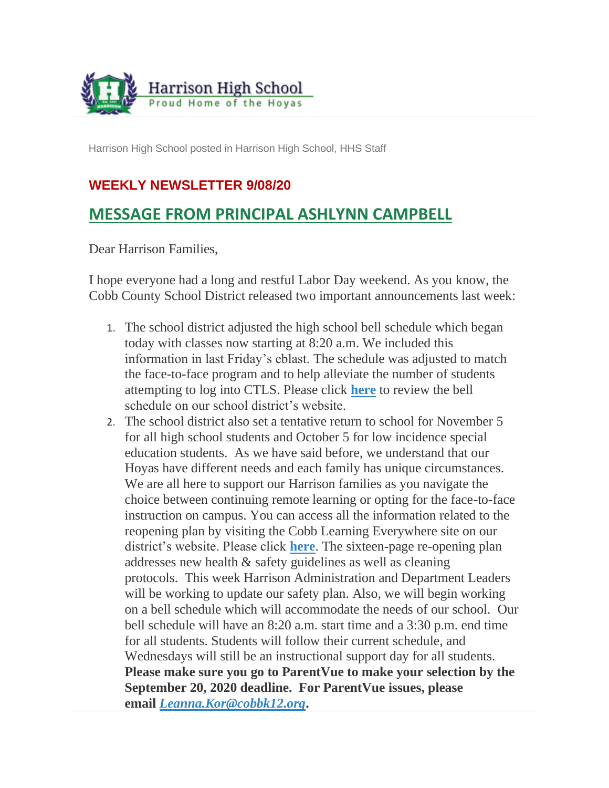

Harrison High School posted in Harrison High School, HHS Staff

## **WEEKLY NEWSLETTER 9/08/20**

## **MESSAGE FROM PRINCIPAL ASHLYNN CAMPBELL**

Dear Harrison Families,

I hope everyone had a long and restful Labor Day weekend. As you know, the Cobb County School District released two important announcements last week:

- 1. The school district adjusted the high school bell schedule which began today with classes now starting at 8:20 a.m. We included this information in last Friday's eblast. The schedule was adjusted to match the face-to-face program and to help alleviate the number of students attempting to log into CTLS. Please click **[here](https://www.cobbk12.org/_ci/post/00200616-0000-0000-0000-000000029946)** to review the bell schedule on our school district's website.
- 2. The school district also set a tentative return to school for November 5 for all high school students and October 5 for low incidence special education students. As we have said before, we understand that our Hoyas have different needs and each family has unique circumstances. We are all here to support our Harrison families as you navigate the choice between continuing remote learning or opting for the face-to-face instruction on campus. You can access all the information related to the reopening plan by visiting the Cobb Learning Everywhere site on our district's website. Please click **[here](https://www.cobblearningeverywhere.com/)**. The sixteen-page re-opening plan addresses new health & safety guidelines as well as cleaning protocols. This week Harrison Administration and Department Leaders will be working to update our safety plan. Also, we will begin working on a bell schedule which will accommodate the needs of our school. Our bell schedule will have an 8:20 a.m. start time and a 3:30 p.m. end time for all students. Students will follow their current schedule, and Wednesdays will still be an instructional support day for all students. **Please make sure you go to ParentVue to make your selection by the September 20, 2020 deadline. For ParentVue issues, please email** *[Leanna.Kor@cobbk12.org](mailto:Leanna.Kor@cobbk12.org)***.**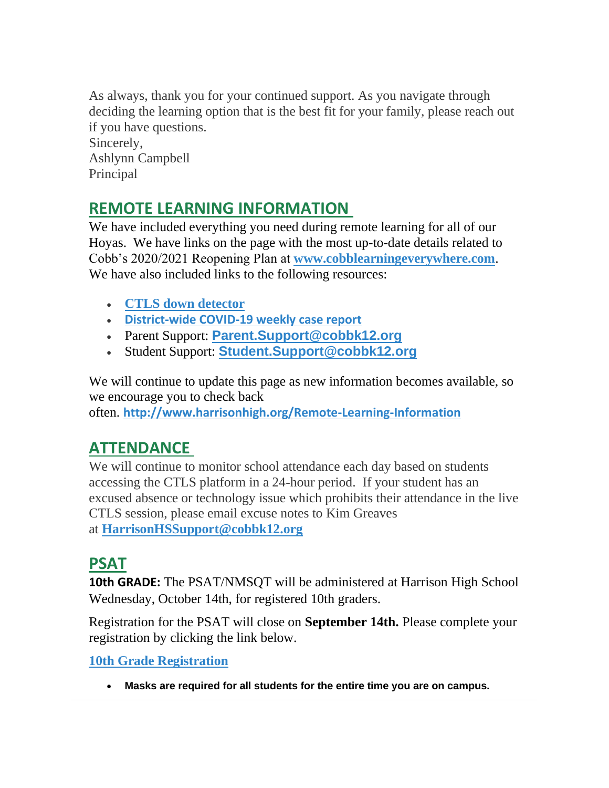As always, thank you for your continued support. As you navigate through deciding the learning option that is the best fit for your family, please reach out if you have questions. Sincerely, Ashlynn Campbell Principal

## **REMOTE LEARNING INFORMATION**

We have included everything you need during remote learning for all of our Hoyas. We have links on the page with the most up-to-date details related to Cobb's 2020/2021 Reopening Plan at **[www.cobblearningeverywhere.com](http://www.cobblearningeverywhere.com/)**. We have also included links to the following resources:

- **[CTLS down detector](https://status.educationincites.com/)**
- **[District-wide COVID-19 weekly case report](https://www.cobblearningeverywhere.com/cases/)**
- Parent Support: **[Parent.Support@cobbk12.org](mailto:CTLSParent.Support@cobbk12.org)**
- Student Support: **[Student.Support@cobbk12.org](mailto:CTLSStudent.Support@cobbk12.org)**

We will continue to update this page as new information becomes available, so we encourage you to check back often. **<http://www.harrisonhigh.org/Remote-Learning-Information>**

# **ATTENDANCE**

We will continue to monitor school attendance each day based on students accessing the CTLS platform in a 24-hour period. If your student has an excused absence or technology issue which prohibits their attendance in the live CTLS session, please email excuse notes to Kim Greaves at **[HarrisonHSSupport@cobbk12.org](mailto:HarrisonHSSupport@cobbk12.org)**

## **PSAT**

**10th GRADE:** The PSAT/NMSQT will be administered at Harrison High School Wednesday, October 14th, for registered 10th graders.

Registration for the PSAT will close on **September 14th.** Please complete your registration by clicking the link below.

**[10th Grade Registration](https://forms.office.com/Pages/ResponsePage.aspx?id=-x3OL5-ROEmquMR_D8kYLSByfG9XUQdCocm82Y4CoYhUREZJUVFPNzgxV1ZHUjFIUjJNN08wSDlJVS4u)**

• **Masks are required for all students for the entire time you are on campus.**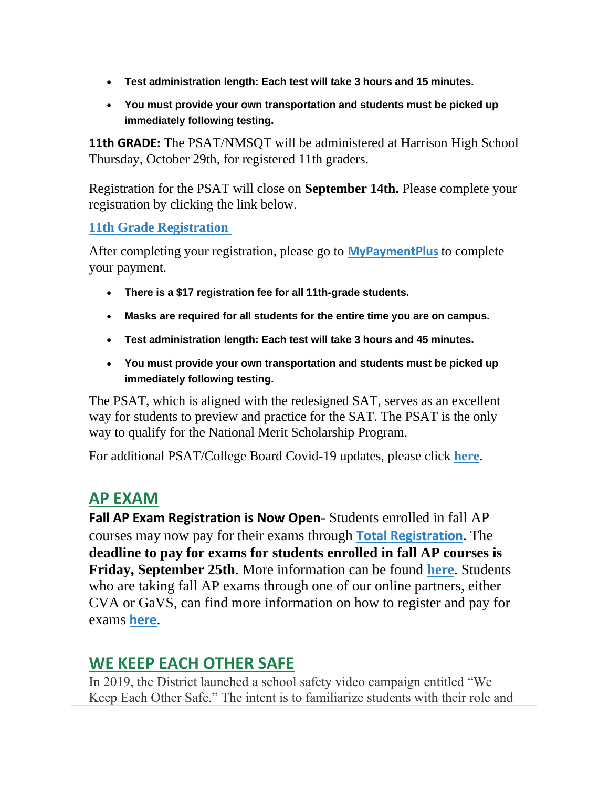- **Test administration length: Each test will take 3 hours and 15 minutes.**
- **You must provide your own transportation and students must be picked up immediately following testing.**

**11th GRADE:** The PSAT/NMSOT will be administered at Harrison High School Thursday, October 29th, for registered 11th graders.

Registration for the PSAT will close on **September 14th.** Please complete your registration by clicking the link below.

#### **[11th Grade Registration](https://forms.office.com/Pages/ResponsePage.aspx?id=-x3OL5-ROEmquMR_D8kYLSByfG9XUQdCocm82Y4CoYhUNkE2QlFRMlBESFNIVEdMOFJKSk5VWlpBQy4u)**

After completing your registration, please go to **[MyPaymentPlus](https://www2.mypaymentsplus.com/welcome)** to complete your payment.

- **There is a \$17 registration fee for all 11th-grade students.**
- **Masks are required for all students for the entire time you are on campus.**
- **Test administration length: Each test will take 3 hours and 45 minutes.**
- **You must provide your own transportation and students must be picked up immediately following testing.**

The PSAT, which is aligned with the redesigned SAT, serves as an excellent way for students to preview and practice for the SAT. The PSAT is the only way to qualify for the National Merit Scholarship Program.

For additional PSAT/College Board Covid-19 updates, please click **[here](https://pages.collegeboard.org/sat-covid-19-updates)**.

## **AP EXAM**

**Fall AP Exam Registration is Now Open**- Students enrolled in fall AP courses may now pay for their exams through **[Total Registration](https://user.totalregistration.net/AP/111734)**. The **deadline to pay for exams for students enrolled in fall AP courses is Friday, September 25th**. More information can be found **[here](https://cobbk12org-my.sharepoint.com/:b:/g/personal/lucia_poole_cobbk12_org/EcBCnM0idWpEvLnLEG6H0fYBvWSJ1G1FeCi62Q1r9dj0qA?e=gvWefl)**. Students who are taking fall AP exams through one of our online partners, either CVA or GaVS, can find more information on how to register and pay for exams **[here](https://cobbk12org-my.sharepoint.com/:b:/g/personal/lucia_poole_cobbk12_org/ERocmsi22YBEgWMQVxm35UwBIlpEVyWiQX8kjfupGWgYXQ?e=QApaPd)**.

## **WE KEEP EACH OTHER SAFE**

In 2019, the District launched a school safety video campaign entitled "We Keep Each Other Safe." The intent is to familiarize students with their role and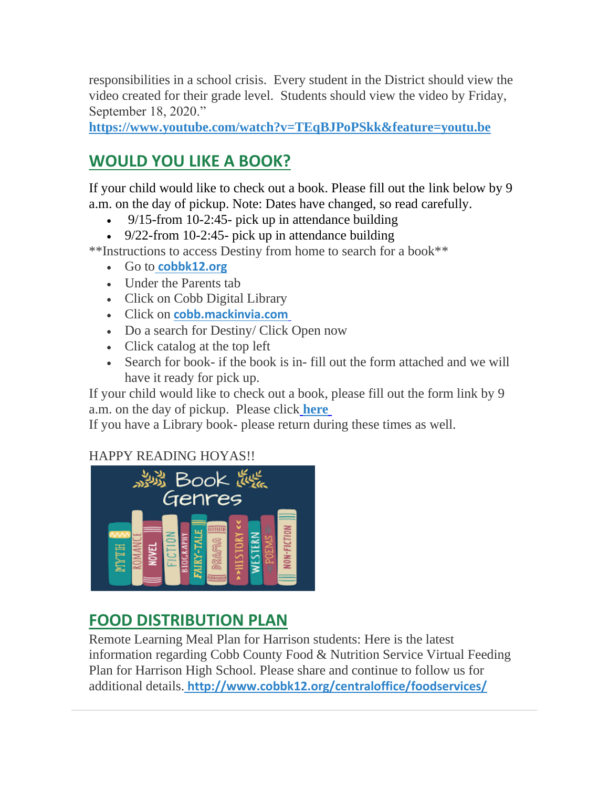responsibilities in a school crisis. Every student in the District should view the video created for their grade level. Students should view the video by Friday, September 18, 2020."

**https://www.youtube.com/watch?v=TEqBJPoPSkk&feature=youtu.be**

# **WOULD YOU LIKE A BOOK?**

If your child would like to check out a book. Please fill out the link below by 9 a.m. on the day of pickup. Note: Dates have changed, so read carefully.

- 9/15-from 10-2:45- pick up in attendance building
- 9/22-from 10-2:45- pick up in attendance building

\*\*Instructions to access Destiny from home to search for a book\*\*

- Go to **[cobbk12.org](https://www.cobbk12.org/)**
- Under the Parents tab
- Click on Cobb Digital Library
- Click on **[cobb.mackinvia.com](https://cobb.mackinvia.com/groups?groupName=all)**
- Do a search for Destiny/ Click Open now
- Click catalog at the top left
- Search for book- if the book is in- fill out the form attached and we will have it ready for pick up.

If your child would like to check out a book, please fill out the form link by 9 a.m. on the day of pickup. Please click **[here](https://forms.office.com/Pages/ResponsePage.aspx?id=-x3OL5-ROEmquMR_D8kYLZ8d62ibOd5NpTUkj3zhIkhUNUhOVFROVDRJT0FTVVlDVFhRSDhHODdTUS4u)**

If you have a Library book- please return during these times as well.

## HAPPY READING HOYAS!!



## **FOOD DISTRIBUTION PLAN**

Remote Learning Meal Plan for Harrison students: Here is the latest information regarding Cobb County Food & Nutrition Service Virtual Feeding Plan for Harrison High School. Please share and continue to follow us for additional details. **[http://www.cobbk12.org/centraloffice/foodservices/](http://info.cobbk12.org/centraloffice/foodservices/)**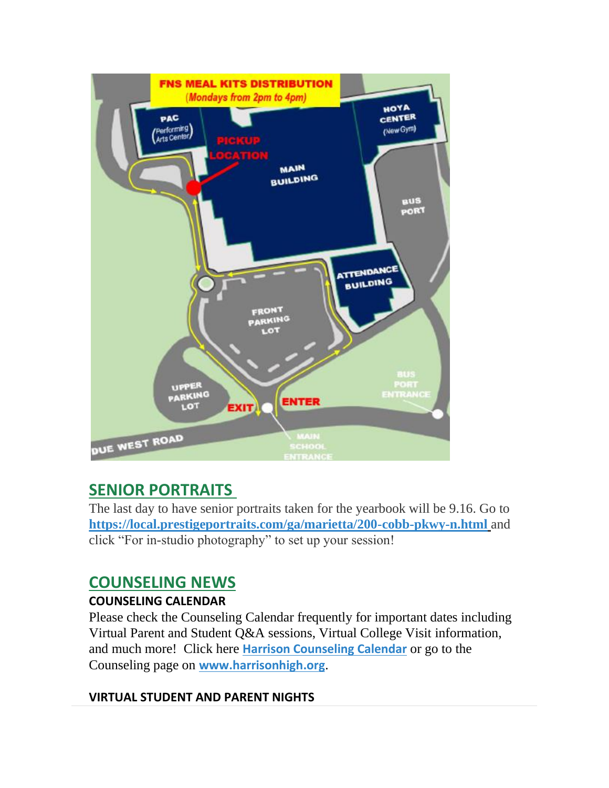

# **SENIOR PORTRAITS**

The last day to have senior portraits taken for the yearbook will be 9.16. Go to **[https://local.prestigeportraits.com/ga/marietta/200-cobb-pkwy-n.html](https://nam03.safelinks.protection.outlook.com/?url=https%3A%2F%2Flocal.prestigeportraits.com%2Fga%2Fmarietta%2F200-cobb-pkwy-n.html&data=02%7C01%7Cmelody.madray%40cobbk12.org%7Cf867f1ffe2974243e13308d8493a4652%7C2fce1dfb919f4938aab8c47f0fc9182d%7C0%7C0%7C637339861919609743&sdata=DPfRENf3QIICR5bofRsUToEn79%2FHTgKpNfVp803Xw5U%3D&reserved=0)** and click "For in-studio photography" to set up your session!

# **COUNSELING NEWS**

## **COUNSELING CALENDAR**

Please check the Counseling Calendar frequently for important dates including Virtual Parent and Student Q&A sessions, Virtual College Visit information, and much more! Click here **[Harrison Counseling Calendar](https://calendar.google.com/calendar/embed?src=tasr4q5spailsj1itftjdtn6mk%40group.calendar.google.com&ctz=America%2FNew_York)** or go to the Counseling page on **[www.harrisonhigh.org](http://www.harrisonhigh.org/)**.

## **VIRTUAL STUDENT AND PARENT NIGHTS**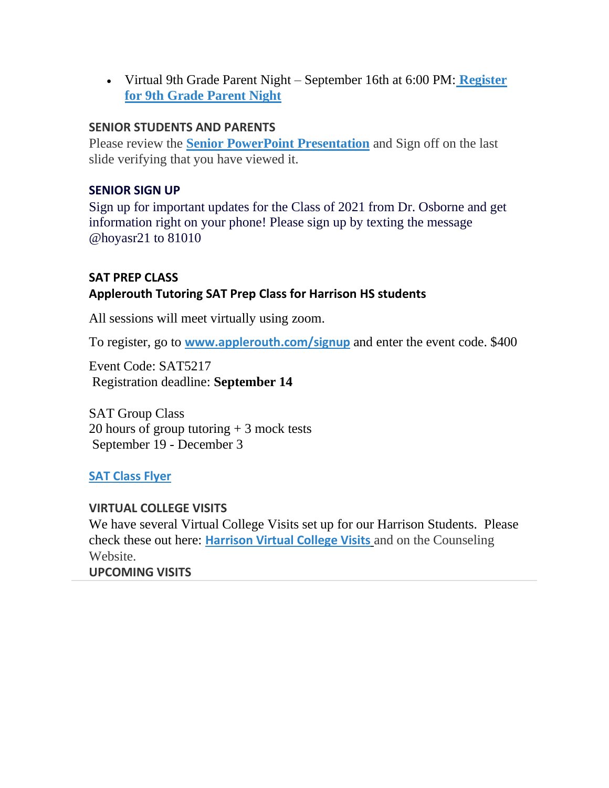• Virtual 9th Grade Parent Night – September 16th at 6:00 PM[:](https://forms.office.com/Pages/ResponsePage.aspx?id=-x3OL5-ROEmquMR_D8kYLWW85uR8aLBInItPvCDivwpUQk45TFowVTBIM0dIMzZYMDAyWTZHV1NCTS4u) **[Register](https://forms.office.com/Pages/ResponsePage.aspx?id=-x3OL5-ROEmquMR_D8kYLWW85uR8aLBInItPvCDivwpUQk45TFowVTBIM0dIMzZYMDAyWTZHV1NCTS4u)  [for 9th Grade Parent Night](https://forms.office.com/Pages/ResponsePage.aspx?id=-x3OL5-ROEmquMR_D8kYLWW85uR8aLBInItPvCDivwpUQk45TFowVTBIM0dIMzZYMDAyWTZHV1NCTS4u)**

#### **SENIOR STUDENTS AND PARENTS**

Please review the **[Senior PowerPoint Presentation](https://docs.google.com/presentation/d/e/2PACX-1vSmq272lb0wOG2S3YnWHp2etJVzf8Knhj_K-_Xasw_V4Hxa3tQ1sl5D5fQM7X1TvQ/pub?start=true&loop=false&delayms=60000)** and Sign off on the last slide verifying that you have viewed it.

#### **SENIOR SIGN UP**

Sign up for important updates for the Class of 2021 from Dr. Osborne and get information right on your phone! Please sign up by texting the message @hoyasr21 to 81010

### **SAT PREP CLASS Applerouth Tutoring SAT Prep Class for Harrison HS students**

All sessions will meet virtually using zoom.

To register, go to **[www.applerouth.com/signup](http://www.applerouth.com/signup)** and enter the event code. \$400

Event Code: SAT5217 Registration deadline: **September 14**

SAT Group Class 20 hours of group tutoring + 3 mock tests September 19 - December 3

#### **[SAT Class Flyer](https://drive.google.com/file/d/1t84W1DyubErW80ytVJm_el-ndYytibq1/view?usp=sharing)**

**VIRTUAL COLLEGE VISITS** We have several Virtual College Visits set up for our Harrison Students. Please check these out here: **[Harrison Virtual College Visits](https://cobbk12org-my.sharepoint.com/:x:/g/personal/leanna_kor_cobbk12_org/EWP6BGgLdCBOvhv5RDRuCVwBqHA2jXXmnAUqr7hXgxEU7w?rtime=t-E10MJN2Eg)** and on the Counseling Website. **UPCOMING VISITS**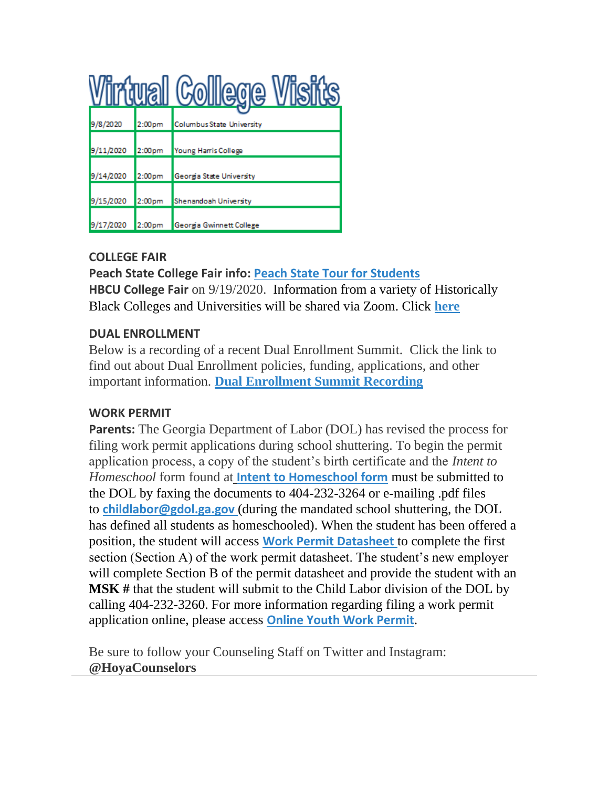|           |                    | <u>tuali Colliege i</u>          |
|-----------|--------------------|----------------------------------|
| 9/8/2020  | 2:00 <sub>pm</sub> | <b>Columbus State University</b> |
| 9/11/2020 | 2:00pm             | Young Harris College             |
| 9/14/2020 | 2:00pm             | Georgia State University         |
| 9/15/2020 | 2:00pm             | Shenandoah University            |
| 9/17/2020 | 2:00 <sub>pm</sub> | Georgia Gwinnett College         |

## **COLLEGE FAIR**

**Peach State College Fair info: [Peach State Tour for Students](http://www.peachstatetour.org/students.html) HBCU College Fair** on 9/19/2020. Information from a variety of Historically Black Colleges and Universities will be shared via Zoom. Click **[here](https://cobbk12org-my.sharepoint.com/personal/lucia_poole_cobbk12_org/_layouts/15/onedrive.aspx?id=%2Fpersonal%2Flucia%5Fpoole%5Fcobbk12%5Forg%2FDocuments%2FJO%20File%2FCounseling%2FHBCU%20Virtual%20Fair%20Flyer%2Ejpg&parent=%2Fpersonal%2Flucia%5Fpoole%5Fcobbk12%5Forg%2FDocuments%2FJO%20File%2FCounseling&originalPath=aHR0cHM6Ly9jb2JiazEyb3JnLW15LnNoYXJlcG9pbnQuY29tLzppOi9nL3BlcnNvbmFsL2x1Y2lhX3Bvb2xlX2NvYmJrMTJfb3JnL0VkdExWZlpHcmVaT2dPazhBdkhCdTBVQmFJd2d1SmlpdDhsaFdDdkNlY180c2c_cnRpbWU9UzJNX01fNVEyRWc)**

### **DUAL ENROLLMENT**

Below is a recording of a recent Dual Enrollment Summit. Click the link to find out about Dual Enrollment policies, funding, applications, and other important information. **[Dual Enrollment Summit Recording](https://cobbk12-org.zoom.us/rec/share/OMUb3HUVFPWXa3ZnvLcQ0kDQySMtfHrXD3ffzEITyUnVbycWPtUkohTrOjZSjBU.82lON9LkrOGrCKxz)**

#### **WORK PERMIT**

**Parents:** The Georgia Department of Labor (DOL) has revised the process for filing work permit applications during school shuttering. To begin the permit application process, a copy of the student's birth certificate and the *Intent to Homeschool* form found at **[Intent to Homeschool form](https://nam03.safelinks.protection.outlook.com/?url=http%3A%2F%2Fdol.georgia.gov%2Fdocument%2Fchild-labor%2Fchild-labor-home-schooled-form%2Fdownload&data=02%7C01%7CAudra.Skalski%40cobbk12.org%7C856357e8e49d4d50041d08d80cb84415%7C2fce1dfb919f4938aab8c47f0fc9182d%7C0%7C1%7C637273332845584845&sdata=nz0qNTyOHRvVOObVOWEuX91PDHerC5foohkyqq%2FEIF4%3D&reserved=0)** must be submitted to the DOL by faxing the documents to 404-232-3264 or e-mailing .pdf files to **[childlabor@gdol.ga.gov](mailto:childlabor@gdol.ga.gov)** (during the mandated school shuttering, the DOL has defined all students as homeschooled). When the student has been offered a position, the student will access **[Work Permit Datasheet](https://nam03.safelinks.protection.outlook.com/?url=https%3A%2F%2Fwww.dol.state.ga.us%2FWS4-MW5%2Fcics.jsp%3FTRANSID%3DWP17%26FRMNAME%3DWP17&data=02%7C01%7CAudra.Skalski%40cobbk12.org%7C856357e8e49d4d50041d08d80cb84415%7C2fce1dfb919f4938aab8c47f0fc9182d%7C0%7C1%7C637273332845584845&sdata=sYK4oD2g8pZe2iY4gQXjSHJq%2FGMstnRRcs7%2F3kUZoWc%3D&reserved=0)** to complete the first section (Section A) of the work permit datasheet. The student's new employer will complete Section B of the permit datasheet and provide the student with an **MSK #** that the student will submit to the Child Labor division of the DOL by calling 404-232-3260. For more information regarding filing a work permit application online, please access **[Online Youth Work Permit](https://nam03.safelinks.protection.outlook.com/?url=https%3A%2F%2Fdol.georgia.gov%2Fget-youth-work-permit-online&data=02%7C01%7CAudra.Skalski%40cobbk12.org%7C856357e8e49d4d50041d08d80cb84415%7C2fce1dfb919f4938aab8c47f0fc9182d%7C0%7C1%7C637273332845594801&sdata=id2mW9JRfRDtP2%2B7yFIssRr%2BQlkCOKLK7sd5Zw2r750%3D&reserved=0)**.

Be sure to follow your Counseling Staff on Twitter and Instagram: **@HoyaCounselors**